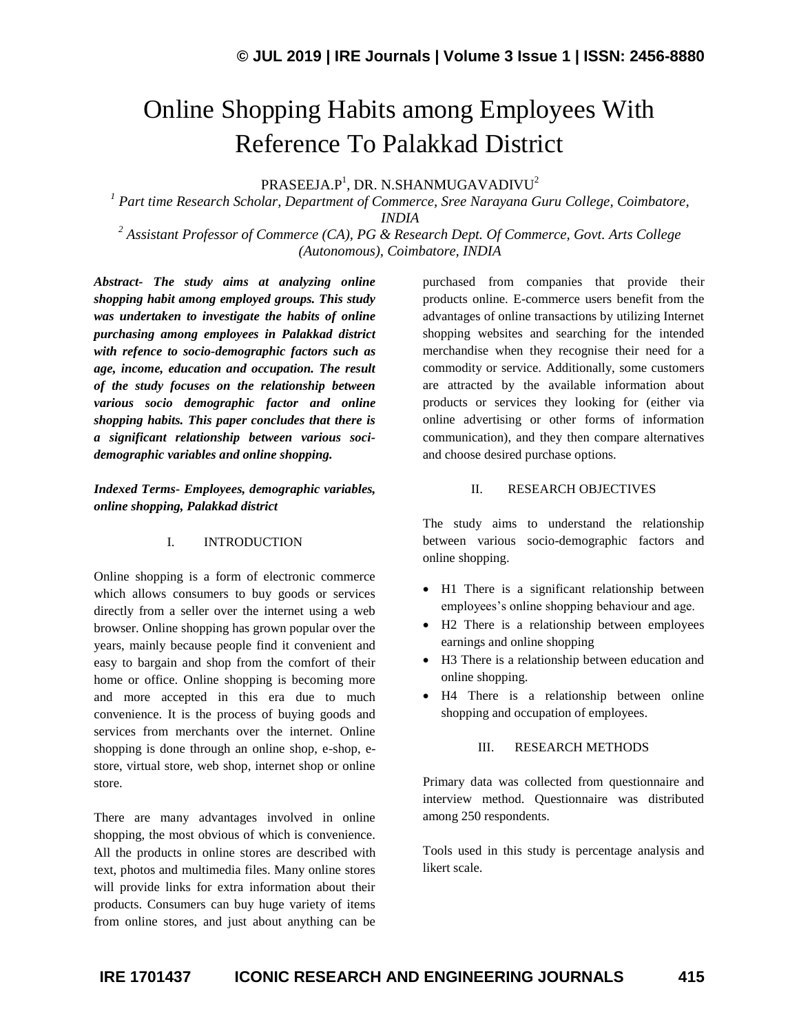# Online Shopping Habits among Employees With Reference To Palakkad District

 $\mathsf{PRASEEJA}. \mathsf{P}^1, \mathsf{DR}.\ \mathsf{N}. \mathsf{SHANMUGAVADIVU}^2$ 

*<sup>1</sup> Part time Research Scholar, Department of Commerce, Sree Narayana Guru College, Coimbatore, INDIA*

*<sup>2</sup> Assistant Professor of Commerce (CA), PG & Research Dept. Of Commerce, Govt. Arts College (Autonomous), Coimbatore, INDIA*

*Abstract- The study aims at analyzing online shopping habit among employed groups. This study was undertaken to investigate the habits of online purchasing among employees in Palakkad district with refence to socio-demographic factors such as age, income, education and occupation. The result of the study focuses on the relationship between various socio demographic factor and online shopping habits. This paper concludes that there is a significant relationship between various socidemographic variables and online shopping.*

*Indexed Terms- Employees, demographic variables, online shopping, Palakkad district*

## I. INTRODUCTION

Online shopping is a form of electronic commerce which allows consumers to buy goods or services directly from a seller over the internet using a web browser. Online shopping has grown popular over the years, mainly because people find it convenient and easy to bargain and shop from the comfort of their home or office. Online shopping is becoming more and more accepted in this era due to much convenience. It is the process of buying goods and services from merchants over the internet. Online shopping is done through an online shop, e-shop, estore, virtual store, web shop, internet shop or online store.

There are many advantages involved in online shopping, the most obvious of which is convenience. All the products in online stores are described with text, photos and multimedia files. Many online stores will provide links for extra information about their products. Consumers can buy huge variety of items from online stores, and just about anything can be

purchased from companies that provide their products online. E-commerce users benefit from the advantages of online transactions by utilizing Internet shopping websites and searching for the intended merchandise when they recognise their need for a commodity or service. Additionally, some customers are attracted by the available information about products or services they looking for (either via online advertising or other forms of information communication), and they then compare alternatives and choose desired purchase options.

#### II. RESEARCH OBJECTIVES

The study aims to understand the relationship between various socio-demographic factors and online shopping.

- H1 There is a significant relationship between employees's online shopping behaviour and age.
- H2 There is a relationship between employees earnings and online shopping
- H3 There is a relationship between education and online shopping.
- H4 There is a relationship between online shopping and occupation of employees.

#### III. RESEARCH METHODS

Primary data was collected from questionnaire and interview method. Questionnaire was distributed among 250 respondents.

Tools used in this study is percentage analysis and likert scale.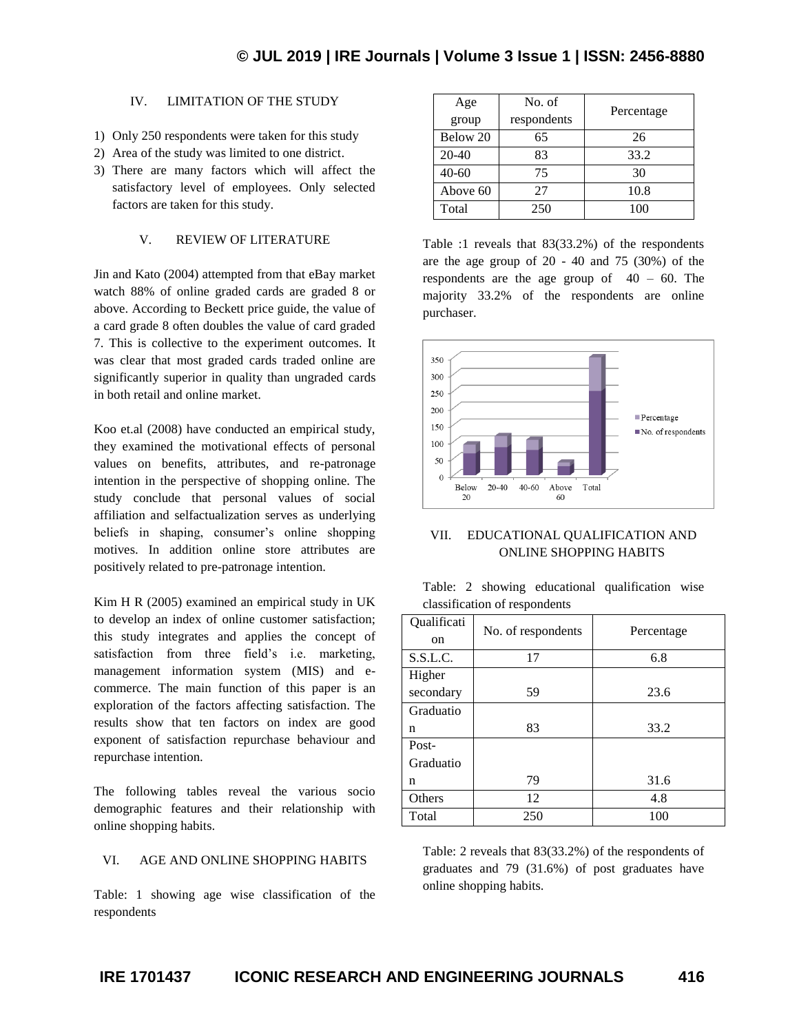# IV. LIMITATION OF THE STUDY

- 1) Only 250 respondents were taken for this study
- 2) Area of the study was limited to one district.
- 3) There are many factors which will affect the satisfactory level of employees. Only selected factors are taken for this study.

## V. REVIEW OF LITERATURE

Jin and Kato (2004) attempted from that eBay market watch 88% of online graded cards are graded 8 or above. According to Beckett price guide, the value of a card grade 8 often doubles the value of card graded 7. This is collective to the experiment outcomes. It was clear that most graded cards traded online are significantly superior in quality than ungraded cards in both retail and online market.

Koo et.al (2008) have conducted an empirical study, they examined the motivational effects of personal values on benefits, attributes, and re-patronage intention in the perspective of shopping online. The study conclude that personal values of social affiliation and selfactualization serves as underlying beliefs in shaping, consumer's online shopping motives. In addition online store attributes are positively related to pre-patronage intention.

Kim H R (2005) examined an empirical study in UK to develop an index of online customer satisfaction; this study integrates and applies the concept of satisfaction from three field's i.e. marketing, management information system (MIS) and ecommerce. The main function of this paper is an exploration of the factors affecting satisfaction. The results show that ten factors on index are good exponent of satisfaction repurchase behaviour and repurchase intention.

The following tables reveal the various socio demographic features and their relationship with online shopping habits.

## VI. AGE AND ONLINE SHOPPING HABITS

Table: 1 showing age wise classification of the respondents

| Age<br>group | No. of<br>respondents | Percentage |  |
|--------------|-----------------------|------------|--|
| Below 20     | 65                    | 26         |  |
| $20 - 40$    | 83                    | 33.2       |  |
| $40 - 60$    | 75                    | 30         |  |
| Above 60     | 27                    | 10.8       |  |
| Total        | 250                   | 100        |  |

Table :1 reveals that 83(33.2%) of the respondents are the age group of 20 - 40 and 75 (30%) of the respondents are the age group of  $40 - 60$ . The majority 33.2% of the respondents are online purchaser.



## VII. EDUCATIONAL QUALIFICATION AND ONLINE SHOPPING HABITS

|  |                               | Table: 2 showing educational qualification wise |  |
|--|-------------------------------|-------------------------------------------------|--|
|  | classification of respondents |                                                 |  |

| Qualificati<br>on | No. of respondents | Percentage |  |  |
|-------------------|--------------------|------------|--|--|
|                   |                    |            |  |  |
| S.S.L.C.          | 17                 | 6.8        |  |  |
| Higher            |                    |            |  |  |
| secondary         | 59                 | 23.6       |  |  |
| Graduatio         |                    |            |  |  |
| n                 | 83                 | 33.2       |  |  |
| Post-             |                    |            |  |  |
| Graduatio         |                    |            |  |  |
| n                 | 79                 | 31.6       |  |  |
| Others            | 12                 | 4.8        |  |  |
| Total             | 250                | 100        |  |  |

Table: 2 reveals that 83(33.2%) of the respondents of graduates and 79 (31.6%) of post graduates have online shopping habits.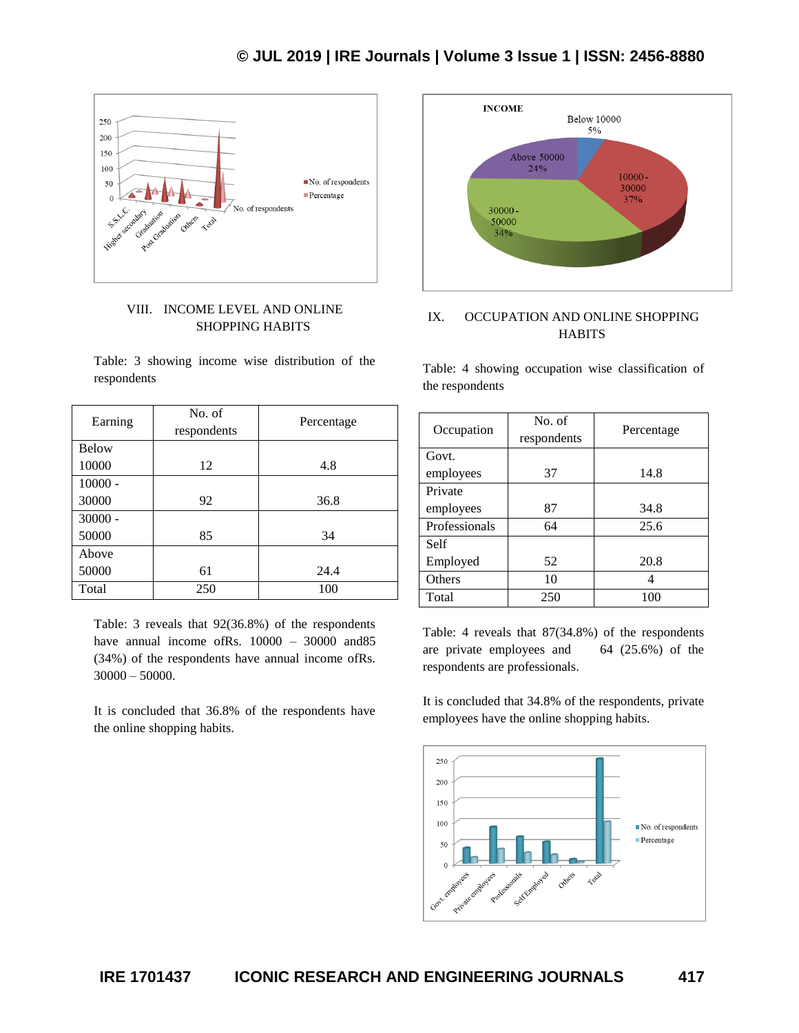

## VIII. INCOME LEVEL AND ONLINE SHOPPING HABITS

Table: 3 showing income wise distribution of the respondents

| Earning      | No. of<br>respondents | Percentage |  |
|--------------|-----------------------|------------|--|
| <b>Below</b> |                       |            |  |
| 10000        | 12                    | 4.8        |  |
| $10000 -$    |                       |            |  |
| 30000        | 92                    | 36.8       |  |
| $30000 -$    |                       |            |  |
| 50000        | 85                    | 34         |  |
| Above        |                       |            |  |
| 50000<br>61  |                       | 24.4       |  |
| 250<br>Total |                       | 100        |  |

Table: 3 reveals that 92(36.8%) of the respondents have annual income ofRs. 10000 – 30000 and 85 (34%) of the respondents have annual income ofRs.  $30000 - 50000$ .

It is concluded that 36.8% of the respondents have the online shopping habits.



# IX. OCCUPATION AND ONLINE SHOPPING **HABITS**

Table: 4 showing occupation wise classification of the respondents

| Occupation    | No. of<br>respondents | Percentage |  |
|---------------|-----------------------|------------|--|
| Govt.         |                       |            |  |
| employees     | 37                    | 14.8       |  |
| Private       |                       |            |  |
| employees     | 87                    | 34.8       |  |
| Professionals | 64                    | 25.6       |  |
| Self          |                       |            |  |
| Employed      | 52                    | 20.8       |  |
| Others        | 10                    |            |  |
| Total         | 250                   | 100        |  |

Table: 4 reveals that 87(34.8%) of the respondents are private employees and 64 (25.6%) of the respondents are professionals.

It is concluded that 34.8% of the respondents, private employees have the online shopping habits.